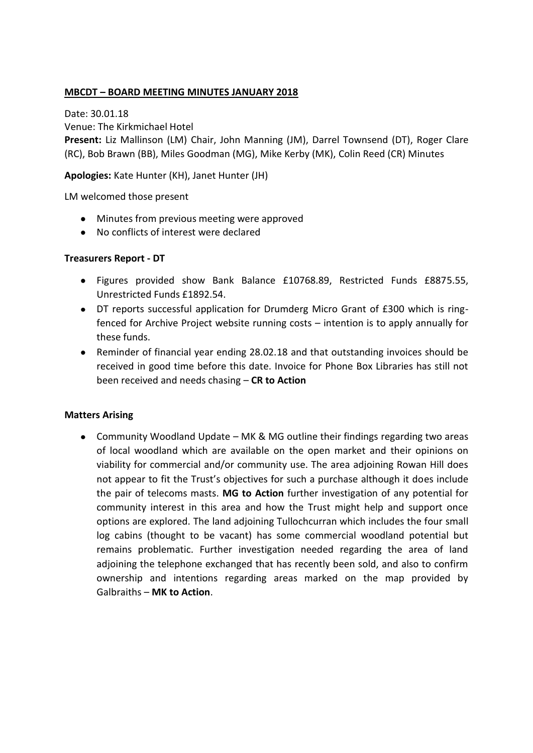## **MBCDT – BOARD MEETING MINUTES JANUARY 2018**

Date: 30.01.18 Venue: The Kirkmichael Hotel **Present:** Liz Mallinson (LM) Chair, John Manning (JM), Darrel Townsend (DT), Roger Clare (RC), Bob Brawn (BB), Miles Goodman (MG), Mike Kerby (MK), Colin Reed (CR) Minutes

## **Apologies:** Kate Hunter (KH), Janet Hunter (JH)

LM welcomed those present

- Minutes from previous meeting were approved
- No conflicts of interest were declared

### **Treasurers Report - DT**

- Figures provided show Bank Balance £10768.89, Restricted Funds £8875.55, Unrestricted Funds £1892.54.
- DT reports successful application for Drumderg Micro Grant of £300 which is ringfenced for Archive Project website running costs – intention is to apply annually for these funds.
- Reminder of financial year ending 28.02.18 and that outstanding invoices should be received in good time before this date. Invoice for Phone Box Libraries has still not been received and needs chasing – **CR to Action**

### **Matters Arising**

Community Woodland Update – MK & MG outline their findings regarding two areas of local woodland which are available on the open market and their opinions on viability for commercial and/or community use. The area adjoining Rowan Hill does not appear to fit the Trust's objectives for such a purchase although it does include the pair of telecoms masts. **MG to Action** further investigation of any potential for community interest in this area and how the Trust might help and support once options are explored. The land adjoining Tullochcurran which includes the four small log cabins (thought to be vacant) has some commercial woodland potential but remains problematic. Further investigation needed regarding the area of land adjoining the telephone exchanged that has recently been sold, and also to confirm ownership and intentions regarding areas marked on the map provided by Galbraiths – **MK to Action**.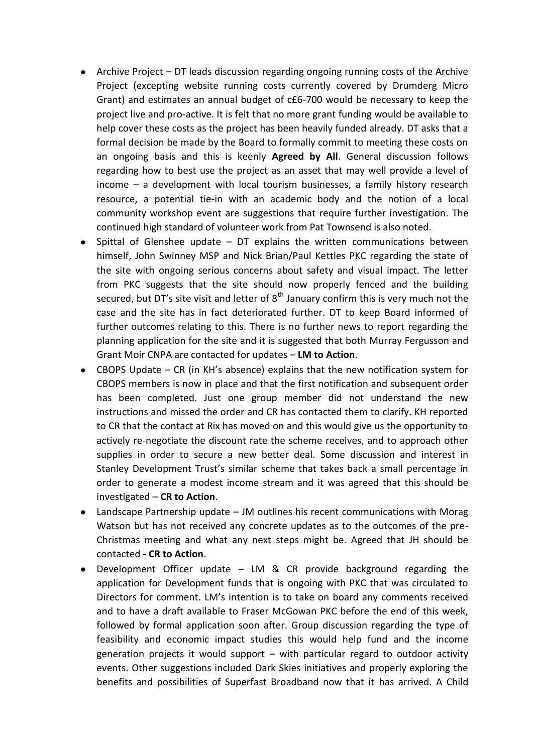- Archive Project DT leads discussion regarding ongoing running costs of the Archive Project (excepting website running costs currently covered by Drumderg Micro Grant) and estimates an annual budget of c£6-700 would be necessary to keep the project live and pro-active. It is felt that no more grant funding would be available to help cover these costs as the project has been heavily funded already. DT asks that a formal decision be made by the Board to formally commit to meeting these costs on an ongoing basis and this is keenly **Agreed by All**. General discussion follows regarding how to best use the project as an asset that may well provide a level of income – a development with local tourism businesses, a family history research resource, a potential tie-in with an academic body and the notion of a local community workshop event are suggestions that require further investigation. The continued high standard of volunteer work from Pat Townsend is also noted.
- Spittal of Glenshee update DT explains the written communications between himself, John Swinney MSP and Nick Brian/Paul Kettles PKC regarding the state of the site with ongoing serious concerns about safety and visual impact. The letter from PKC suggests that the site should now properly fenced and the building secured, but DT's site visit and letter of  $8<sup>th</sup>$  January confirm this is very much not the case and the site has in fact deteriorated further. DT to keep Board informed of further outcomes relating to this. There is no further news to report regarding the planning application for the site and it is suggested that both Murray Fergusson and Grant Moir CNPA are contacted for updates – **LM to Action**.
- CBOPS Update CR (in KH's absence) explains that the new notification system for CBOPS members is now in place and that the first notification and subsequent order has been completed. Just one group member did not understand the new instructions and missed the order and CR has contacted them to clarify. KH reported to CR that the contact at Rix has moved on and this would give us the opportunity to actively re-negotiate the discount rate the scheme receives, and to approach other supplies in order to secure a new better deal. Some discussion and interest in Stanley Development Trust's similar scheme that takes back a small percentage in order to generate a modest income stream and it was agreed that this should be investigated – **CR to Action**.
- Landscape Partnership update JM outlines his recent communications with Morag Watson but has not received any concrete updates as to the outcomes of the pre-Christmas meeting and what any next steps might be. Agreed that JH should be contacted - **CR to Action**.
- Development Officer update LM & CR provide background regarding the  $\bullet$ application for Development funds that is ongoing with PKC that was circulated to Directors for comment. LM's intention is to take on board any comments received and to have a draft available to Fraser McGowan PKC before the end of this week, followed by formal application soon after. Group discussion regarding the type of feasibility and economic impact studies this would help fund and the income generation projects it would support – with particular regard to outdoor activity events. Other suggestions included Dark Skies initiatives and properly exploring the benefits and possibilities of Superfast Broadband now that it has arrived. A Child